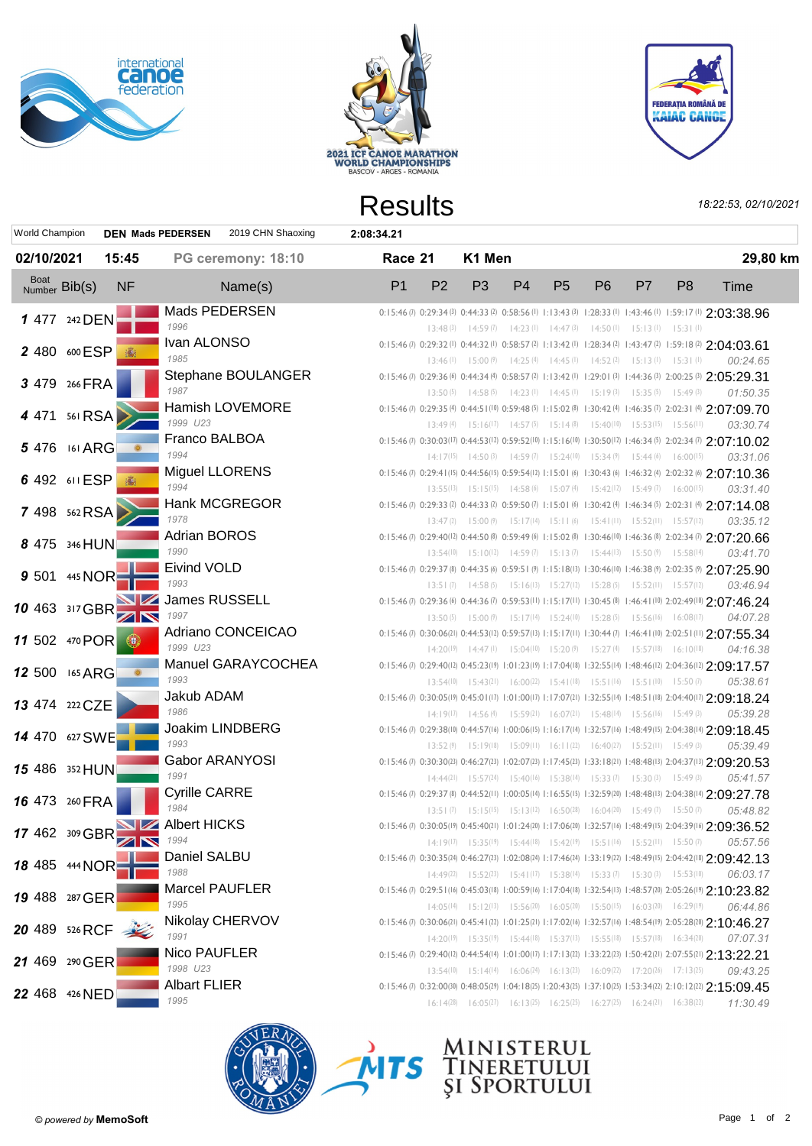





|                       |         |                |                          |                        |            | <b>Results</b> |                |                         |                |                |                                                                                                          |    |                | 18:22:53, 02/10/2021                                                                                                      |
|-----------------------|---------|----------------|--------------------------|------------------------|------------|----------------|----------------|-------------------------|----------------|----------------|----------------------------------------------------------------------------------------------------------|----|----------------|---------------------------------------------------------------------------------------------------------------------------|
| <b>World Champion</b> |         |                | <b>DEN Mads PEDERSEN</b> | 2019 CHN Shaoxing      | 2:08:34.21 |                |                |                         |                |                |                                                                                                          |    |                |                                                                                                                           |
| 02/10/2021            |         | 15:45          |                          | PG ceremony: 18:10     |            | Race 21        |                | K1 Men                  |                |                |                                                                                                          |    |                | 29,80 km                                                                                                                  |
| Boat<br>Number Bib(s) |         | <b>NF</b>      |                          | Name(s)                |            | P <sub>1</sub> | P <sub>2</sub> | P <sub>3</sub>          | P <sub>4</sub> | P <sub>5</sub> | P <sub>6</sub>                                                                                           | P7 | P <sub>8</sub> | Time                                                                                                                      |
| 1 477 242 DEN         |         |                |                          | Mads PEDERSEN          |            |                |                |                         |                |                |                                                                                                          |    |                | 0:15:46 (7) 0:29:34 (3) 0:44:33 (2) 0:58:56 (1) 1:13:43 (3) 1:28:33 (1) 1:43:46 (1) 1:59:17 (1) 2:03:38.96                |
|                       |         |                | 1996                     |                        |            |                |                |                         |                |                | 13:48 (3) 14:59 (7) 14:23 (1) 14:47 (3) 14:50 (1) 15:13 (1) 15:31 (1)                                    |    |                |                                                                                                                           |
| 2 480 600 ESP         |         |                | Ivan ALONSO              |                        |            |                |                |                         |                |                |                                                                                                          |    |                | 0:15:46 (7) 0:29:32 (1) 0:44:32 (1) 0:58:57 (2) 1:13:42 (1) 1:28:34 (2) 1:43:47 (2) 1:59:18 (2) 2:04:03.61                |
|                       |         |                | 1985                     |                        |            |                |                |                         |                |                | 13:46 (1) 15:00 (9) 14:25 (4) 14:45 (1) 14:52 (2) 15:13 (1) 15:31 (1)                                    |    |                | 00:24.65                                                                                                                  |
| 3 479 266 FRA         |         |                |                          | Stephane BOULANGER     |            |                |                |                         |                |                |                                                                                                          |    |                | 0:15:46 (7) 0:29:36 (6) 0:44:34 (4) 0:58:57 (2) 1:13:42 (1) 1:29:01 (3) 1:44:36 (3) 2:00:25 (3) 2:05:29.31                |
|                       |         |                | 1987                     |                        |            |                |                |                         |                |                | 13:50 (5) 14:58 (5) 14:23 (1) 14:45 (1) 15:19 (3) 15:35 (5) 15:49 (3)                                    |    |                | 01:50.35                                                                                                                  |
| 4 471 561 RSA >       |         |                | 1999 U23                 | <b>Hamish LOVEMORE</b> |            |                |                |                         |                |                |                                                                                                          |    |                | 0:15:46(7) 0:29:35(4) 0:44:51(10) 0:59:48(5) 1:15:02(8) 1:30:42(4) 1:46:35(7) 2:02:31(4) 2:07:09.70                       |
|                       |         |                | Franco BALBOA            |                        |            |                |                |                         |                |                | 13:49 (4) 15:16 (17) 14:57 (5) 15:14 (8) 15:40 (10) 15:53 (15) 15:56 (11)                                |    |                | 03:30.74                                                                                                                  |
| 5 476 161 ARG         |         |                | 1994                     |                        |            |                |                |                         |                |                |                                                                                                          |    |                | 0:15:46(7) 0:30:03(17) 0:44:53(12) 0:59:52(10) 1:15:16(10) 1:30:50(12) 1:46:34(5) 2:02:34(7) 2:07:10.02                   |
|                       |         |                | <b>Miguel LLORENS</b>    |                        |            |                |                |                         |                |                | $14:17^{(15)}$ $14:50^{(3)}$ $14:59^{(7)}$ $15:24^{(10)}$ $15:34^{(9)}$ $15:44^{(6)}$ $16:00^{(15)}$     |    |                | 03:31.06                                                                                                                  |
| 6 492 611 ESP 3       |         |                | 1994                     |                        |            |                |                |                         |                |                | $13:55^{(13)}$ $15:15^{(15)}$ $14:58^{(6)}$ $15:07^{(4)}$ $15:42^{(12)}$ $15:49^{(7)}$ $16:00^{(15)}$    |    |                | 0:15:46 (7) 0:29:41 (15) 0:44:56 (15) 0:59:54 (12) 1:15:01 (6) 1:30:43 (6) 1:46:32 (4) 2:02:32 (6) 2:07:10.36<br>03:31.40 |
|                       |         |                |                          | <b>Hank MCGREGOR</b>   |            |                |                |                         |                |                |                                                                                                          |    |                | 0:15:46(7) 0:29:33(2) 0:44:33(2) 0:59:50(7) 1:15:01(6) 1:30:42(4) 1:46:34(5) 2:02:31(4) 2:07:14.08                        |
| 7 498 562 RSA         |         |                | 1978                     |                        |            |                |                |                         |                |                | 13:47 (2) 15:00 (9) 15:17(14) 15:11 (6) 15:41(11) 15:52(11) 15:57(12)                                    |    |                | 03:35.12                                                                                                                  |
|                       |         |                | <b>Adrian BOROS</b>      |                        |            |                |                |                         |                |                |                                                                                                          |    |                | 0:15:46 (7) 0:29:40(12) 0:44:50 (8) 0:59:49 (6) 1:15:02 (8) 1:30:46 (10) 1:46:36 (8) 2:02:34 (7) 2:07:20.66               |
| 8 475 346 HUN         |         |                | 1990                     |                        |            |                |                |                         |                |                | 13:54(10) 15:10(12) 14:59(7) 15:13(7) 15:44(13) 15:50(9) 15:58(14)                                       |    |                | 03:41.70                                                                                                                  |
|                       |         |                | <b>Eivind VOLD</b>       |                        |            |                |                |                         |                |                |                                                                                                          |    |                | 0:15:46(7) 0:29:37(8) 0:44:35(6) 0:59:51(9) 1:15:18(13) 1:30:46(10) 1:46:38(9) 2:02:35(9) 2:07:25.90                      |
| 9 501                 | 445 NOR |                | 1993                     |                        |            |                |                |                         |                |                | 13:51 (7) 14:58 (5) 15:16(13) 15:27(12) 15:28 (5) 15:52(11) 15:57(12)                                    |    |                | 03:46.94                                                                                                                  |
|                       |         |                | James RUSSELL            |                        |            |                |                |                         |                |                |                                                                                                          |    |                | 0:15:46(7) 0:29:36(6) 0:44:36(7) 0:59:53(11) 1:15:17(11) 1:30:45(8) 1:46:41(10) 2:02:49(10) 2:07:46.24                    |
| 10 463 317 GBR        |         | $\blacksquare$ | 1997                     |                        |            |                |                |                         |                |                | 13:50 (5) 15:00 (9) 15:17(14) 15:24(10) 15:28 (5) 15:56(16) 16:08(17)                                    |    |                | 04:07.28                                                                                                                  |
|                       |         |                |                          | Adriano CONCEICAO      |            |                |                |                         |                |                |                                                                                                          |    |                | 0:15:46 (7) 0:30:06(21) 0:44:53(12) 0:59:57(13) 1:15:17(11) 1:30:44 (7) 1:46:41(10) 2:02:51(11) 2:07:55.34                |
| 11 502 470 POR        |         |                | 1999 U23                 |                        |            |                |                |                         |                |                | $14:20(19)$ $14:47(1)$ $15:04(10)$ $15:20(9)$ $15:27(4)$ $15:57(18)$ $16:10(18)$                         |    |                | 04:16.38                                                                                                                  |
|                       |         |                |                          | Manuel GARAYCOCHEA     |            |                |                |                         |                |                |                                                                                                          |    |                | 0:15:46 (7) 0:29:40(12) 0:45:23(19) 1:01:23(19) 1:17:04(18) 1:32:55(14) 1:48:46(12) 2:04:36(12) 2:09:17.57                |
| 12 500 165 ARG        |         |                | 1993                     |                        |            |                |                |                         |                |                | $13:54(10)$ $15:43(21)$ $16:00(22)$ $15:41(18)$ $15:51(16)$ $15:51(10)$ $15:50(7)$                       |    |                | 05:38.61                                                                                                                  |
|                       |         |                | Jakub ADAM               |                        |            |                |                |                         |                |                |                                                                                                          |    |                | 0:15:46 (7) 0:30:05 (19) 0:45:01 (17) 1:01:00 (17) 1:17:07 (21) 1:32:55 (14) 1:48:51 (18) 2:04:40 (17) 2:09:18.24         |
| 13 474 222 CZE        |         |                | 1986                     |                        |            |                |                |                         |                |                | $14:19(17)$ $14:56(4)$ $15:59(21)$ $16:07(21)$ $15:48(14)$ $15:56(16)$ $15:49(3)$                        |    |                | 05:39.28                                                                                                                  |
|                       |         |                |                          | <b>Joakim LINDBERG</b> |            |                |                |                         |                |                |                                                                                                          |    |                | 0:15:46 (7) 0:29:38(10) 0:44:57(16) 1:00:06(15) 1:16:17(14) 1:32:57(16) 1:48:49(15) 2:04:38(14) 2:09:18.45                |
| 14 470 627 SWE        |         |                | 1993                     |                        |            |                |                |                         |                |                | $13:52(9)$ $15:19(18)$ $15:09(11)$ $16:11(22)$ $16:40(27)$ $15:52(11)$ $15:49(3)$                        |    |                | 05:39.49                                                                                                                  |
|                       |         |                |                          | <b>Gabor ARANYOSI</b>  |            |                |                |                         |                |                |                                                                                                          |    |                | 0:15:46 (7) 0:30:30(23) 0:46:27(23) 1:02:07(23) 1:17:45(23) 1:33:18(21) 1:48:48(13) 2:04:37(13) 2:09:20.53                |
| 15 486 352 HUN        |         |                | 1991                     |                        |            |                |                | $14:44(21)$ $15:57(24)$ |                |                | $15:40^{(16)}$ $15:38^{(14)}$ $15:33^{(7)}$ $15:30^{(3)}$                                                |    | 15:49(3)       | 05:41.57                                                                                                                  |
|                       |         |                | <b>Cyrille CARRE</b>     |                        |            |                |                |                         |                |                |                                                                                                          |    |                | 0:15:46 (7) 0:29:37 (8) 0:44:52(11) 1:00:05(14) 1:16:55(15) 1:32:59(20) 1:48:48(13) 2:04:38(14) 2:09:27.78                |
| 16 473 260 FRA        |         |                | 1984                     |                        |            |                |                |                         |                |                | 13:51 (7) 15:15(15) 15:13(12) 16:50(28) 16:04(20) 15:49(7) 15:50(7)                                      |    |                | 05:48.82                                                                                                                  |
| 17 462 309 GBR        |         |                | <b>Albert HICKS</b>      |                        |            |                |                |                         |                |                |                                                                                                          |    |                | 0:15:46(7) 0:30:05(19) 0:45:40(21) 1:01:24(20) 1:17:06(20) 1:32:57(16) 1:48:49(15) 2:04:39(16) 2:09:36.52                 |
|                       |         |                | 1994                     |                        |            |                |                |                         |                |                | $14:19(17)$ $15:35(19)$ $15:44(18)$ $15:42(19)$ $15:51(16)$ $15:52(11)$ $15:50(7)$                       |    |                | 05:57.56                                                                                                                  |
| 18 485 444 NOR        |         |                | Daniel SALBU             |                        |            |                |                |                         |                |                |                                                                                                          |    |                | 0:15:46(7) 0:30:35(24) 0:46:27(23) 1:02:08(24) 1:17:46(24) 1:33:19(22) 1:48:49(15) 2:04:42(18) 2:09:42.13                 |
|                       |         |                | 1988                     |                        |            |                |                |                         |                |                | $14:49(22)$ $15:52(23)$ $15:41(17)$ $15:38(14)$ $15:33(7)$ $15:30(3)$ $15:53(10)$                        |    |                | 06:03.17                                                                                                                  |
| 19 488 287 GER        |         |                | <b>Marcel PAUFLER</b>    |                        |            |                |                |                         |                |                |                                                                                                          |    |                | 0:15:46 (7) 0:29:51(16) 0:45:03(18) 1:00:59(16) 1:17:04(18) 1:32:54(13) 1:48:57(20) 2:05:26(19) 2:10:23.82                |
|                       |         |                | 1995                     |                        |            |                |                |                         |                |                | $14:05(14)$ $15:12(13)$ $15:56(20)$ $16:05(20)$ $15:50(15)$ $16:03(20)$ $16:29(19)$                      |    |                | 06:44.86                                                                                                                  |
| 20 489 526 RCF        |         |                |                          | Nikolay CHERVOV        |            |                |                |                         |                |                |                                                                                                          |    |                | 0:15:46 (7) 0:30:06(21) 0:45:41 (22) 1:01:25(21) 1:17:02(16) 1:32:57(16) 1:48:54(19) 2:05:28(20) 2:10:46.27               |
|                       |         |                | 1991                     |                        |            |                |                |                         |                |                | $14:20(19)$ $15:35(19)$ $15:44(18)$ $15:37(13)$ $15:55(18)$ $15:57(18)$ $16:34(20)$                      |    |                | 07:07.31                                                                                                                  |
| 21 469 290 GER        |         |                | Nico PAUFLER             |                        |            |                |                |                         |                |                |                                                                                                          |    |                | 0:15:46(7) 0:29:40(12) 0:44:54(14) 1:01:00(17) 1:17:13(22) 1:33:22(23) 1:50:42(21) 2:07:55(21) 2:13:22.21                 |
|                       |         |                | 1998 U23                 |                        |            |                |                |                         |                |                | $13:54(10)$ $15:14(14)$ $16:06(24)$ $16:13(23)$ $16:09(22)$ $17:20(26)$ $17:13(25)$                      |    |                | 09:43.25                                                                                                                  |
| 22 468 426 NED        |         |                | <b>Albart FLIER</b>      |                        |            |                |                |                         |                |                |                                                                                                          |    |                | 0:15:46 (7) 0:32:00(30) 0:48:05(29) 1:04:18(25) 1:20:43(25) 1:37:10(25) 1:53:34(22) 2:10:12(22) 2:15:09.45                |
|                       |         |                | 1995                     |                        |            |                |                |                         |                |                | $16:14^{(28)}$ $16:05^{(27)}$ $16:13^{(25)}$ $16:25^{(25)}$ $16:27^{(25)}$ $16:24^{(21)}$ $16:38^{(22)}$ |    |                | 11:30.49                                                                                                                  |
|                       |         |                |                          |                        |            |                |                |                         |                |                |                                                                                                          |    |                |                                                                                                                           |